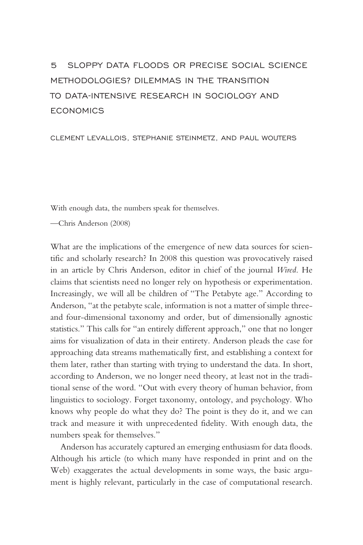# 5 SLOPPY DATA FLOODS OR PRECISE SOCIAL SCIENCE METHODOLOGIES? DILEMMAS IN THE TRANSITION TO DATA-INTENSIVE RESEARCH IN SOCIOLOGY AND **ECONOMICS**

CLEMENT LEVALLOIS, STEPHANIE STEINMETZ, AND PAUL WOUTERS

With enough data, the numbers speak for themselves.

—Chris Anderson (2008)

What are the implications of the emergence of new data sources for scientific and scholarly research? In 2008 this question was provocatively raised in an article by Chris Anderson, editor in chief of the journal *Wired*. He claims that scientists need no longer rely on hypothesis or experimentation. Increasingly, we will all be children of "The Petabyte age." According to Anderson, "at the petabyte scale, information is not a matter of simple threeand four-dimensional taxonomy and order, but of dimensionally agnostic statistics." This calls for "an entirely different approach," one that no longer aims for visualization of data in their entirety. Anderson pleads the case for approaching data streams mathematically first, and establishing a context for them later, rather than starting with trying to understand the data. In short, according to Anderson, we no longer need theory, at least not in the traditional sense of the word. "Out with every theory of human behavior, from linguistics to sociology. Forget taxonomy, ontology, and psychology. Who knows why people do what they do? The point is they do it, and we can track and measure it with unprecedented fidelity. With enough data, the numbers speak for themselves."

Anderson has accurately captured an emerging enthusiasm for data floods. Although his article (to which many have responded in print and on the Web) exaggerates the actual developments in some ways, the basic argument is highly relevant, particularly in the case of computational research.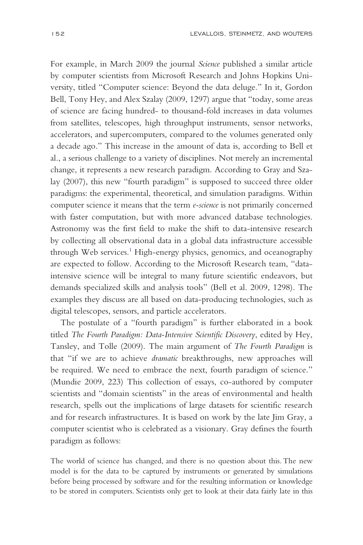For example, in March 2009 the journal *Science* published a similar article by computer scientists from Microsoft Research and Johns Hopkins University, titled "Computer science: Beyond the data deluge." In it, Gordon Bell, Tony Hey, and Alex Szalay (2009, 1297) argue that "today, some areas of science are facing hundred- to thousand-fold increases in data volumes from satellites, telescopes, high throughput instruments, sensor networks, accelerators, and supercomputers, compared to the volumes generated only a decade ago." This increase in the amount of data is, according to Bell et al., a serious challenge to a variety of disciplines. Not merely an incremental change, it represents a new research paradigm. According to Gray and Szalay (2007), this new "fourth paradigm" is supposed to succeed three older paradigms: the experimental, theoretical, and simulation paradigms. Within computer science it means that the term *e-science* is not primarily concerned with faster computation, but with more advanced database technologies. Astronomy was the first field to make the shift to data-intensive research by collecting all observational data in a global data infrastructure accessible through Web services.<sup>1</sup> High-energy physics, genomics, and oceanography are expected to follow. According to the Microsoft Research team, "dataintensive science will be integral to many future scientific endeavors, but demands specialized skills and analysis tools" (Bell et al. 2009, 1298). The examples they discuss are all based on data-producing technologies, such as digital telescopes, sensors, and particle accelerators.

The postulate of a "fourth paradigm" is further elaborated in a book titled *The Fourth Paradigm: Data-Intensive Scientific Discovery*, edited by Hey, Tansley, and Tolle (2009). The main argument of *The Fourth Paradigm* is that "if we are to achieve *dramatic* breakthroughs, new approaches will be required. We need to embrace the next, fourth paradigm of science." (Mundie 2009, 223) This collection of essays, co-authored by computer scientists and "domain scientists" in the areas of environmental and health research, spells out the implications of large datasets for scientific research and for research infrastructures. It is based on work by the late Jim Gray, a computer scientist who is celebrated as a visionary. Gray defines the fourth paradigm as follows:

The world of science has changed, and there is no question about this. The new model is for the data to be captured by instruments or generated by simulations before being processed by software and for the resulting information or knowledge to be stored in computers. Scientists only get to look at their data fairly late in this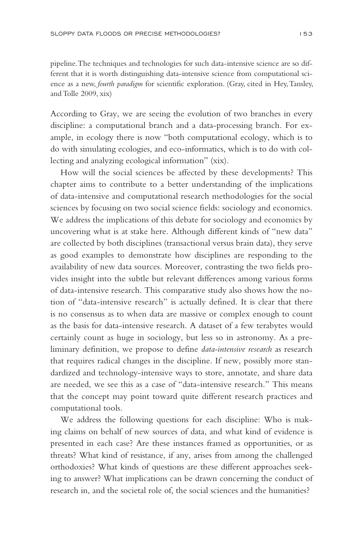pipeline. The techniques and technologies for such data-intensive science are so different that it is worth distinguishing data-intensive science from computational science as a new, *fourth paradigm* for scientific exploration. (Gray, cited in Hey, Tansley, and Tolle 2009, xix)

According to Gray, we are seeing the evolution of two branches in every discipline: a computational branch and a data-processing branch. For example, in ecology there is now "both computational ecology, which is to do with simulating ecologies, and eco-informatics, which is to do with collecting and analyzing ecological information" (xix).

How will the social sciences be affected by these developments? This chapter aims to contribute to a better understanding of the implications of data-intensive and computational research methodologies for the social sciences by focusing on two social science fields: sociology and economics. We address the implications of this debate for sociology and economics by uncovering what is at stake here. Although different kinds of "new data" are collected by both disciplines (transactional versus brain data), they serve as good examples to demonstrate how disciplines are responding to the availability of new data sources. Moreover, contrasting the two fields provides insight into the subtle but relevant differences among various forms of data-intensive research. This comparative study also shows how the notion of "data-intensive research" is actually defined. It is clear that there is no consensus as to when data are massive or complex enough to count as the basis for data-intensive research. A dataset of a few terabytes would certainly count as huge in sociology, but less so in astronomy. As a preliminary definition, we propose to define *data-intensive research* as research that requires radical changes in the discipline. If new, possibly more standardized and technology-intensive ways to store, annotate, and share data are needed, we see this as a case of "data-intensive research." This means that the concept may point toward quite different research practices and computational tools.

We address the following questions for each discipline: Who is making claims on behalf of new sources of data, and what kind of evidence is presented in each case? Are these instances framed as opportunities, or as threats? What kind of resistance, if any, arises from among the challenged orthodoxies? What kinds of questions are these different approaches seeking to answer? What implications can be drawn concerning the conduct of research in, and the societal role of, the social sciences and the humanities?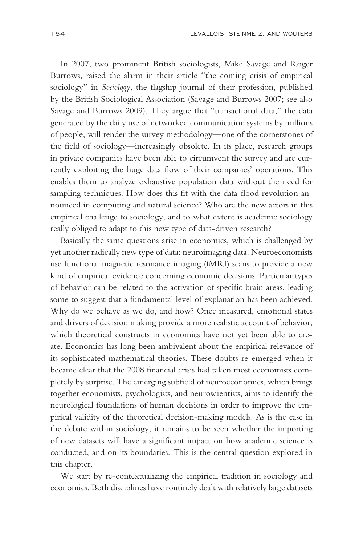In 2007, two prominent British sociologists, Mike Savage and Roger Burrows, raised the alarm in their article "the coming crisis of empirical sociology" in *Sociology*, the flagship journal of their profession, published by the British Sociological Association (Savage and Burrows 2007; see also Savage and Burrows 2009). They argue that "transactional data," the data generated by the daily use of networked communication systems by millions of people, will render the survey methodology—one of the cornerstones of the field of sociology—increasingly obsolete. In its place, research groups in private companies have been able to circumvent the survey and are currently exploiting the huge data flow of their companies' operations. This enables them to analyze exhaustive population data without the need for sampling techniques. How does this fit with the data-flood revolution announced in computing and natural science? Who are the new actors in this empirical challenge to sociology, and to what extent is academic sociology really obliged to adapt to this new type of data-driven research?

Basically the same questions arise in economics, which is challenged by yet another radically new type of data: neuroimaging data. Neuroeconomists use functional magnetic resonance imaging (fMRI) scans to provide a new kind of empirical evidence concerning economic decisions. Particular types of behavior can be related to the activation of specific brain areas, leading some to suggest that a fundamental level of explanation has been achieved. Why do we behave as we do, and how? Once measured, emotional states and drivers of decision making provide a more realistic account of behavior, which theoretical constructs in economics have not yet been able to create. Economics has long been ambivalent about the empirical relevance of its sophisticated mathematical theories. These doubts re-emerged when it became clear that the 2008 financial crisis had taken most economists completely by surprise. The emerging subfield of neuroeconomics, which brings together economists, psychologists, and neuroscientists, aims to identify the neurological foundations of human decisions in order to improve the empirical validity of the theoretical decision-making models. As is the case in the debate within sociology, it remains to be seen whether the importing of new datasets will have a significant impact on how academic science is conducted, and on its boundaries. This is the central question explored in this chapter.

We start by re-contextualizing the empirical tradition in sociology and economics. Both disciplines have routinely dealt with relatively large datasets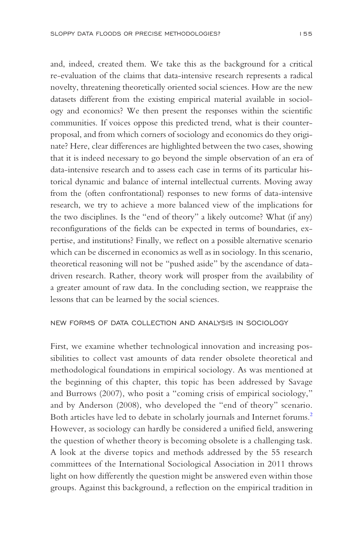and, indeed, created them. We take this as the background for a critical re-evaluation of the claims that data-intensive research represents a radical novelty, threatening theoretically oriented social sciences. How are the new datasets different from the existing empirical material available in sociology and economics? We then present the responses within the scientific communities. If voices oppose this predicted trend, what is their counterproposal, and from which corners of sociology and economics do they originate? Here, clear differences are highlighted between the two cases, showing that it is indeed necessary to go beyond the simple observation of an era of data-intensive research and to assess each case in terms of its particular historical dynamic and balance of internal intellectual currents. Moving away from the (often confrontational) responses to new forms of data-intensive research, we try to achieve a more balanced view of the implications for the two disciplines. Is the "end of theory" a likely outcome? What (if any) reconfigurations of the fields can be expected in terms of boundaries, expertise, and institutions? Finally, we reflect on a possible alternative scenario which can be discerned in economics as well as in sociology. In this scenario, theoretical reasoning will not be "pushed aside" by the ascendance of datadriven research. Rather, theory work will prosper from the availability of a greater amount of raw data. In the concluding section, we reappraise the lessons that can be learned by the social sciences.

#### NEW FORMS OF DATA COLLECTION AND ANALYSIS IN SOCIOLOGY

First, we examine whether technological innovation and increasing possibilities to collect vast amounts of data render obsolete theoretical and methodological foundations in empirical sociology. As was mentioned at the beginning of this chapter, this topic has been addressed by Savage and Burrows (2007), who posit a "coming crisis of empirical sociology," and by Anderson (2008), who developed the "end of theory" scenario. Both articles have led to debate in scholarly journals and Internet forums.<sup>2</sup> However, as sociology can hardly be considered a unified field, answering the question of whether theory is becoming obsolete is a challenging task. A look at the diverse topics and methods addressed by the 55 research committees of the International Sociological Association in 2011 throws light on how differently the question might be answered even within those groups. Against this background, a reflection on the empirical tradition in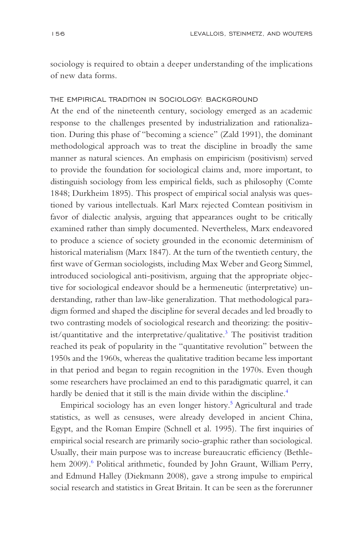sociology is required to obtain a deeper understanding of the implications of new data forms.

# THE EMPIRICAL TRADITION IN SOCIOLOGY: BACKGROUND

At the end of the nineteenth century, sociology emerged as an academic response to the challenges presented by industrialization and rationalization. During this phase of "becoming a science" (Zald 1991), the dominant methodological approach was to treat the discipline in broadly the same manner as natural sciences. An emphasis on empiricism (positivism) served to provide the foundation for sociological claims and, more important, to distinguish sociology from less empirical fields, such as philosophy (Comte 1848; Durkheim 1895). This prospect of empirical social analysis was questioned by various intellectuals. Karl Marx rejected Comtean positivism in favor of dialectic analysis, arguing that appearances ought to be critically examined rather than simply documented. Nevertheless, Marx endeavored to produce a science of society grounded in the economic determinism of historical materialism (Marx 1847). At the turn of the twentieth century, the first wave of German sociologists, including Max Weber and Georg Simmel, introduced sociological anti-positivism, arguing that the appropriate objective for sociological endeavor should be a hermeneutic (interpretative) understanding, rather than law-like generalization. That methodological paradigm formed and shaped the discipline for several decades and led broadly to two contrasting models of sociological research and theorizing: the positivist/quantitative and the interpretative/qualitative.<sup>3</sup> The positivist tradition reached its peak of popularity in the "quantitative revolution" between the 1950s and the 1960s, whereas the qualitative tradition became less important in that period and began to regain recognition in the 1970s. Even though some researchers have proclaimed an end to this paradigmatic quarrel, it can hardly be denied that it still is the main divide within the discipline.<sup>4</sup>

Empirical sociology has an even longer history.5 Agricultural and trade statistics, as well as censuses, were already developed in ancient China, Egypt, and the Roman Empire (Schnell et al. 1995). The first inquiries of empirical social research are primarily socio-graphic rather than sociological. Usually, their main purpose was to increase bureaucratic efficiency (Bethlehem 2009).<sup>6</sup> Political arithmetic, founded by John Graunt, William Perry, and Edmund Halley (Diekmann 2008), gave a strong impulse to empirical social research and statistics in Great Britain. It can be seen as the forerunner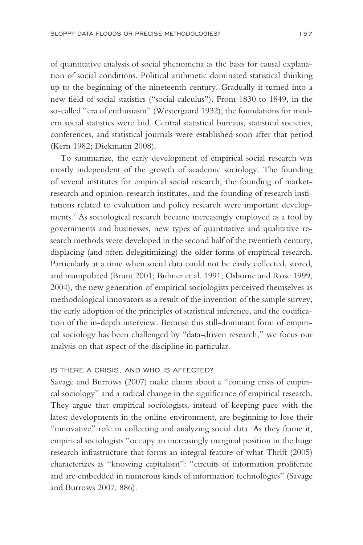of quantitative analysis of social phenomena as the basis for causal explanation of social conditions. Political arithmetic dominated statistical thinking up to the beginning of the nineteenth century. Gradually it turned into a new field of social statistics ("social calculus"). From 1830 to 1849, in the so-called "era of enthusiasm" (Westergaard 1932), the foundations for modern social statistics were laid. Central statistical bureaus, statistical societies, conferences, and statistical journals were established soon after that period (Kern 1982; Diekmann 2008).

To summarize, the early development of empirical social research was mostly independent of the growth of academic sociology. The founding of several institutes for empirical social research, the founding of marketresearch and opinion-research institutes, and the founding of research institutions related to evaluation and policy research were important developments.<sup>7</sup> As sociological research became increasingly employed as a tool by governments and businesses, new types of quantitative and qualitative research methods were developed in the second half of the twentieth century, displacing (and often delegitimizing) the older forms of empirical research. Particularly at a time when social data could not be easily collected, stored, and manipulated (Brunt 2001; Bulmer et al. 1991; Osborne and Rose 1999, 2004), the new generation of empirical sociologists perceived themselves as methodological innovators as a result of the invention of the sample survey, the early adoption of the principles of statistical inference, and the codification of the in-depth interview. Because this still-dominant form of empirical sociology has been challenged by "data-driven research," we focus our analysis on that aspect of the discipline in particular.

#### IS THERE A CRISIS, AND WHO IS AFFECTED?

Savage and Burrows (2007) make claims about a "coming crisis of empirical sociology" and a radical change in the significance of empirical research. They argue that empirical sociologists, instead of keeping pace with the latest developments in the online environment, are beginning to lose their "innovative" role in collecting and analyzing social data. As they frame it, empirical sociologists "occupy an increasingly marginal position in the huge research infrastructure that forms an integral feature of what Thrift (2005) characterizes as "knowing capitalism": "circuits of information proliferate and are embedded in numerous kinds of information technologies" (Savage and Burrows 2007, 886).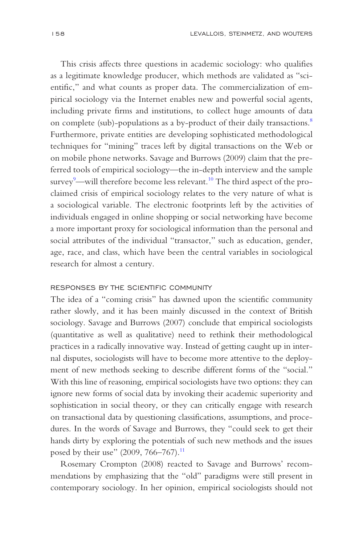This crisis affects three questions in academic sociology: who qualifies as a legitimate knowledge producer, which methods are validated as "scientific," and what counts as proper data. The commercialization of empirical sociology via the Internet enables new and powerful social agents, including private firms and institutions, to collect huge amounts of data on complete (sub)-populations as a by-product of their daily transactions.<sup>8</sup> Furthermore, private entities are developing sophisticated methodological techniques for "mining" traces left by digital transactions on the Web or on mobile phone networks. Savage and Burrows (2009) claim that the preferred tools of empirical sociology—the in-depth interview and the sample survey $^9$ —will therefore become less relevant. $^{10}$  The third aspect of the proclaimed crisis of empirical sociology relates to the very nature of what is a sociological variable. The electronic footprints left by the activities of individuals engaged in online shopping or social networking have become a more important proxy for sociological information than the personal and social attributes of the individual "transactor," such as education, gender, age, race, and class, which have been the central variables in sociological research for almost a century.

# RESPONSES BY THE SCIENTIFIC COMMUNITY

The idea of a "coming crisis" has dawned upon the scientific community rather slowly, and it has been mainly discussed in the context of British sociology. Savage and Burrows (2007) conclude that empirical sociologists (quantitative as well as qualitative) need to rethink their methodological practices in a radically innovative way. Instead of getting caught up in internal disputes, sociologists will have to become more attentive to the deployment of new methods seeking to describe different forms of the "social." With this line of reasoning, empirical sociologists have two options: they can ignore new forms of social data by invoking their academic superiority and sophistication in social theory, or they can critically engage with research on transactional data by questioning classifications, assumptions, and procedures. In the words of Savage and Burrows, they "could seek to get their hands dirty by exploring the potentials of such new methods and the issues posed by their use" (2009, 766–767).<sup>11</sup>

Rosemary Crompton (2008) reacted to Savage and Burrows' recommendations by emphasizing that the "old" paradigms were still present in contemporary sociology. In her opinion, empirical sociologists should not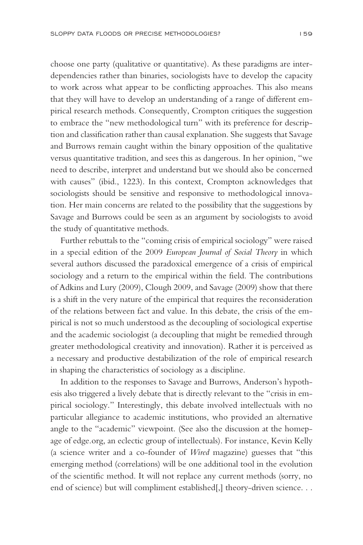choose one party (qualitative or quantitative). As these paradigms are interdependencies rather than binaries, sociologists have to develop the capacity to work across what appear to be conflicting approaches. This also means that they will have to develop an understanding of a range of different empirical research methods. Consequently, Crompton critiques the suggestion to embrace the "new methodological turn" with its preference for description and classification rather than causal explanation. She suggests that Savage and Burrows remain caught within the binary opposition of the qualitative versus quantitative tradition, and sees this as dangerous. In her opinion, "we need to describe, interpret and understand but we should also be concerned with causes" (ibid., 1223). In this context, Crompton acknowledges that sociologists should be sensitive and responsive to methodological innovation. Her main concerns are related to the possibility that the suggestions by Savage and Burrows could be seen as an argument by sociologists to avoid the study of quantitative methods.

Further rebuttals to the "coming crisis of empirical sociology" were raised in a special edition of the 2009 *European Journal of Social Theory* in which several authors discussed the paradoxical emergence of a crisis of empirical sociology and a return to the empirical within the field. The contributions of Adkins and Lury (2009), Clough 2009, and Savage (2009) show that there is a shift in the very nature of the empirical that requires the reconsideration of the relations between fact and value. In this debate, the crisis of the empirical is not so much understood as the decoupling of sociological expertise and the academic sociologist (a decoupling that might be remedied through greater methodological creativity and innovation). Rather it is perceived as a necessary and productive destabilization of the role of empirical research in shaping the characteristics of sociology as a discipline.

In addition to the responses to Savage and Burrows, Anderson's hypothesis also triggered a lively debate that is directly relevant to the "crisis in empirical sociology." Interestingly, this debate involved intellectuals with no particular allegiance to academic institutions, who provided an alternative angle to the "academic" viewpoint. (See also the discussion at the homepage of edge.org, an eclectic group of intellectuals). For instance, Kevin Kelly (a science writer and a co-founder of *Wired* magazine) guesses that "this emerging method (correlations) will be one additional tool in the evolution of the scientific method. It will not replace any current methods (sorry, no end of science) but will compliment established[,] theory-driven science. . .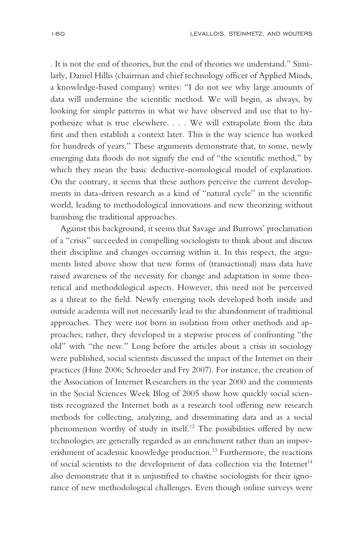. It is not the end of theories, but the end of theories we understand." Similarly, Daniel Hillis (chairman and chief technology officer of Applied Minds, a knowledge-based company) writes: "I do not see why large amounts of data will undermine the scientific method. We will begin, as always, by looking for simple patterns in what we have observed and use that to hypothesize what is true elsewhere. . . . We will extrapolate from the data first and then establish a context later. This is the way science has worked for hundreds of years." These arguments demonstrate that, to some, newly emerging data floods do not signify the end of "the scientific method," by which they mean the basic deductive-nomological model of explanation. On the contrary, it seems that these authors perceive the current developments in data-driven research as a kind of "natural cycle" in the scientific world, leading to methodological innovations and new theorizing without banishing the traditional approaches.

Against this background, it seems that Savage and Burrows' proclamation of a "crisis" succeeded in compelling sociologists to think about and discuss their discipline and changes occurring within it. In this respect, the arguments listed above show that new forms of (transactional) mass data have raised awareness of the necessity for change and adaptation in some theoretical and methodological aspects. However, this need not be perceived as a threat to the field. Newly emerging tools developed both inside and outside academia will not necessarily lead to the abandonment of traditional approaches. They were not born in isolation from other methods and approaches; rather, they developed in a stepwise process of confronting "the old" with "the new." Long before the articles about a crisis in sociology were published, social scientists discussed the impact of the Internet on their practices (Hine 2006; Schroeder and Fry 2007). For instance, the creation of the Association of Internet Researchers in the year 2000 and the comments in the Social Sciences Week Blog of 2005 show how quickly social scientists recognized the Internet both as a research tool offering new research methods for collecting, analyzing, and disseminating data and as a social phenomenon worthy of study in itself.<sup>12</sup> The possibilities offered by new technologies are generally regarded as an enrichment rather than an impoverishment of academic knowledge production.<sup>13</sup> Furthermore, the reactions of social scientists to the development of data collection via the Internet<sup>14</sup> also demonstrate that it is unjustified to chastise sociologists for their ignorance of new methodological challenges. Even though online surveys were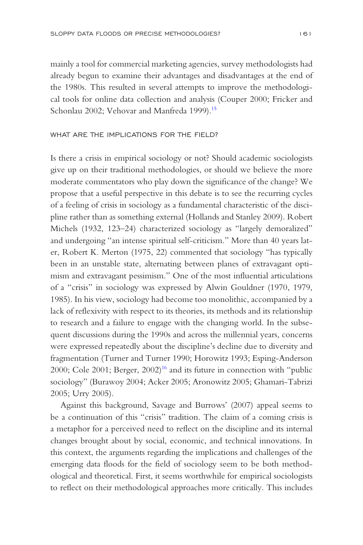mainly a tool for commercial marketing agencies, survey methodologists had already begun to examine their advantages and disadvantages at the end of the 1980s. This resulted in several attempts to improve the methodological tools for online data collection and analysis (Couper 2000; Fricker and Schonlau 2002; Vehovar and Manfreda 1999).<sup>15</sup>

WHAT ARE THE IMPLICATIONS FOR THE FIELD?

Is there a crisis in empirical sociology or not? Should academic sociologists give up on their traditional methodologies, or should we believe the more moderate commentators who play down the significance of the change? We propose that a useful perspective in this debate is to see the recurring cycles of a feeling of crisis in sociology as a fundamental characteristic of the discipline rather than as something external (Hollands and Stanley 2009). Robert Michels (1932, 123–24) characterized sociology as "largely demoralized" and undergoing "an intense spiritual self-criticism." More than 40 years later, Robert K. Merton (1975, 22) commented that sociology "has typically been in an unstable state, alternating between planes of extravagant optimism and extravagant pessimism." One of the most influential articulations of a "crisis" in sociology was expressed by Alwin Gouldner (1970, 1979, 1985). In his view, sociology had become too monolithic, accompanied by a lack of reflexivity with respect to its theories, its methods and its relationship to research and a failure to engage with the changing world. In the subsequent discussions during the 1990s and across the millennial years, concerns were expressed repeatedly about the discipline's decline due to diversity and fragmentation (Turner and Turner 1990; Horowitz 1993; Esping-Anderson 2000; Cole 2001; Berger, 2002)<sup>16</sup> and its future in connection with "public sociology" (Burawoy 2004; Acker 2005; Aronowitz 2005; Ghamari-Tabrizi 2005; Urry 2005).

Against this background, Savage and Burrows' (2007) appeal seems to be a continuation of this "crisis" tradition. The claim of a coming crisis is a metaphor for a perceived need to reflect on the discipline and its internal changes brought about by social, economic, and technical innovations. In this context, the arguments regarding the implications and challenges of the emerging data floods for the field of sociology seem to be both methodological and theoretical. First, it seems worthwhile for empirical sociologists to reflect on their methodological approaches more critically. This includes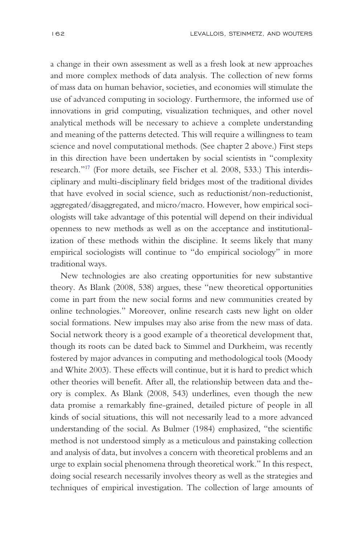a change in their own assessment as well as a fresh look at new approaches and more complex methods of data analysis. The collection of new forms of mass data on human behavior, societies, and economies will stimulate the use of advanced computing in sociology. Furthermore, the informed use of innovations in grid computing, visualization techniques, and other novel analytical methods will be necessary to achieve a complete understanding and meaning of the patterns detected. This will require a willingness to team science and novel computational methods. (See chapter 2 above.) First steps in this direction have been undertaken by social scientists in "complexity research."17 (For more details, see Fischer et al. 2008, 533.) This interdisciplinary and multi-disciplinary field bridges most of the traditional divides that have evolved in social science, such as reductionist/non-reductionist, aggregated/disaggregated, and micro/macro. However, how empirical sociologists will take advantage of this potential will depend on their individual openness to new methods as well as on the acceptance and institutionalization of these methods within the discipline. It seems likely that many empirical sociologists will continue to "do empirical sociology" in more traditional ways.

New technologies are also creating opportunities for new substantive theory. As Blank (2008, 538) argues, these "new theoretical opportunities come in part from the new social forms and new communities created by online technologies." Moreover, online research casts new light on older social formations. New impulses may also arise from the new mass of data. Social network theory is a good example of a theoretical development that, though its roots can be dated back to Simmel and Durkheim, was recently fostered by major advances in computing and methodological tools (Moody and White 2003). These effects will continue, but it is hard to predict which other theories will benefit. After all, the relationship between data and theory is complex. As Blank (2008, 543) underlines, even though the new data promise a remarkably fine-grained, detailed picture of people in all kinds of social situations, this will not necessarily lead to a more advanced understanding of the social. As Bulmer (1984) emphasized, "the scientific method is not understood simply as a meticulous and painstaking collection and analysis of data, but involves a concern with theoretical problems and an urge to explain social phenomena through theoretical work." In this respect, doing social research necessarily involves theory as well as the strategies and techniques of empirical investigation. The collection of large amounts of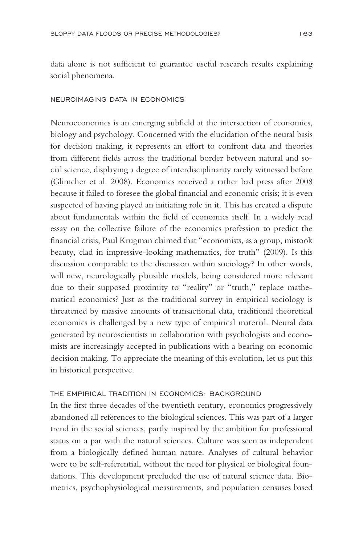data alone is not sufficient to guarantee useful research results explaining social phenomena.

# NEUROIMAGING DATA IN ECONOMICS

Neuroeconomics is an emerging subfield at the intersection of economics, biology and psychology. Concerned with the elucidation of the neural basis for decision making, it represents an effort to confront data and theories from different fields across the traditional border between natural and social science, displaying a degree of interdisciplinarity rarely witnessed before (Glimcher et al. 2008). Economics received a rather bad press after 2008 because it failed to foresee the global financial and economic crisis; it is even suspected of having played an initiating role in it. This has created a dispute about fundamentals within the field of economics itself. In a widely read essay on the collective failure of the economics profession to predict the financial crisis, Paul Krugman claimed that "economists, as a group, mistook beauty, clad in impressive-looking mathematics, for truth" (2009). Is this discussion comparable to the discussion within sociology? In other words, will new, neurologically plausible models, being considered more relevant due to their supposed proximity to "reality" or "truth," replace mathematical economics? Just as the traditional survey in empirical sociology is threatened by massive amounts of transactional data, traditional theoretical economics is challenged by a new type of empirical material. Neural data generated by neuroscientists in collaboration with psychologists and economists are increasingly accepted in publications with a bearing on economic decision making. To appreciate the meaning of this evolution, let us put this in historical perspective.

# THE EMPIRICAL TRADITION IN ECONOMICS: BACKGROUND

In the first three decades of the twentieth century, economics progressively abandoned all references to the biological sciences. This was part of a larger trend in the social sciences, partly inspired by the ambition for professional status on a par with the natural sciences. Culture was seen as independent from a biologically defined human nature. Analyses of cultural behavior were to be self-referential, without the need for physical or biological foundations. This development precluded the use of natural science data. Biometrics, psychophysiological measurements, and population censuses based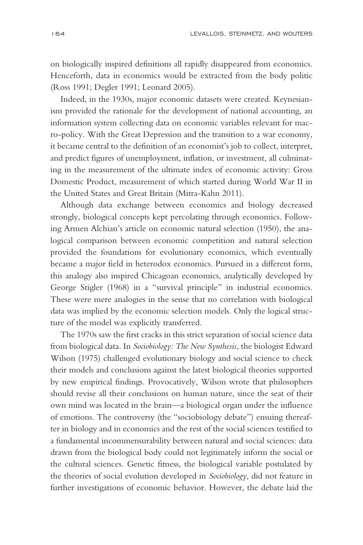on biologically inspired definitions all rapidly disappeared from economics. Henceforth, data in economics would be extracted from the body politic (Ross 1991; Degler 1991; Leonard 2005).

Indeed, in the 1930s, major economic datasets were created. Keynesianism provided the rationale for the development of national accounting, an information system collecting data on economic variables relevant for macro-policy. With the Great Depression and the transition to a war economy, it became central to the definition of an economist's job to collect, interpret, and predict figures of unemployment, inflation, or investment, all culminating in the measurement of the ultimate index of economic activity: Gross Domestic Product, measurement of which started during World War II in the United States and Great Britain (Mitra-Kahn 2011).

Although data exchange between economics and biology decreased strongly, biological concepts kept percolating through economics. Following Armen Alchian's article on economic natural selection (1950), the analogical comparison between economic competition and natural selection provided the foundations for evolutionary economics, which eventually became a major field in heterodox economics. Pursued in a different form, this analogy also inspired Chicagoan economics, analytically developed by George Stigler (1968) in a "survival principle" in industrial economics. These were mere analogies in the sense that no correlation with biological data was implied by the economic selection models. Only the logical structure of the model was explicitly transferred.

The 1970s saw the first cracks in this strict separation of social science data from biological data. In *Sociobiology: The New Synthesis*, the biologist Edward Wilson (1975) challenged evolutionary biology and social science to check their models and conclusions against the latest biological theories supported by new empirical findings. Provocatively, Wilson wrote that philosophers should revise all their conclusions on human nature, since the seat of their own mind was located in the brain—a biological organ under the influence of emotions. The controversy (the "sociobiology debate") ensuing thereafter in biology and in economics and the rest of the social sciences testified to a fundamental incommensurability between natural and social sciences: data drawn from the biological body could not legitimately inform the social or the cultural sciences. Genetic fitness, the biological variable postulated by the theories of social evolution developed in *Sociobiology*, did not feature in further investigations of economic behavior. However, the debate laid the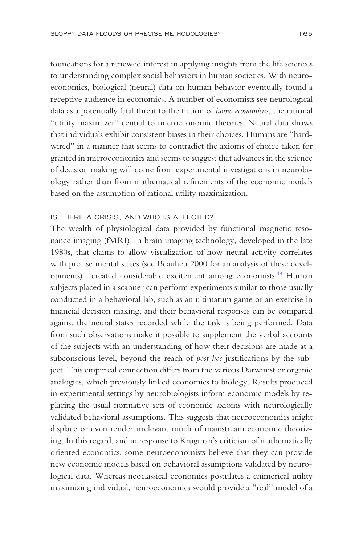foundations for a renewed interest in applying insights from the life sciences to understanding complex social behaviors in human societies. With neuroeconomics, biological (neural) data on human behavior eventually found a receptive audience in economics. A number of economists see neurological data as a potentially fatal threat to the fiction of *homo economicus*, the rational "utility maximizer" central to microeconomic theories. Neural data shows that individuals exhibit consistent biases in their choices. Humans are "hardwired" in a manner that seems to contradict the axioms of choice taken for granted in microeconomics and seems to suggest that advances in the science of decision making will come from experimental investigations in neurobiology rather than from mathematical refinements of the economic models based on the assumption of rational utility maximization.

# IS THERE A CRISIS, AND WHO IS AFFECTED?

The wealth of physiological data provided by functional magnetic resonance imaging (fMRI)—a brain imaging technology, developed in the late 1980s, that claims to allow visualization of how neural activity correlates with precise mental states (see Beaulieu 2000 for an analysis of these developments)—created considerable excitement among economists.18 Human subjects placed in a scanner can perform experiments similar to those usually conducted in a behavioral lab, such as an ultimatum game or an exercise in financial decision making, and their behavioral responses can be compared against the neural states recorded while the task is being performed. Data from such observations make it possible to supplement the verbal accounts of the subjects with an understanding of how their decisions are made at a subconscious level, beyond the reach of *post hoc* justifications by the subject. This empirical connection differs from the various Darwinist or organic analogies, which previously linked economics to biology. Results produced in experimental settings by neurobiologists inform economic models by replacing the usual normative sets of economic axioms with neurologically validated behavioral assumptions. This suggests that neuroeconomics might displace or even render irrelevant much of mainstream economic theorizing. In this regard, and in response to Krugman's criticism of mathematically oriented economics, some neuroeconomists believe that they can provide new economic models based on behavioral assumptions validated by neurological data. Whereas neoclassical economics postulates a chimerical utility maximizing individual, neuroeconomics would provide a "real" model of a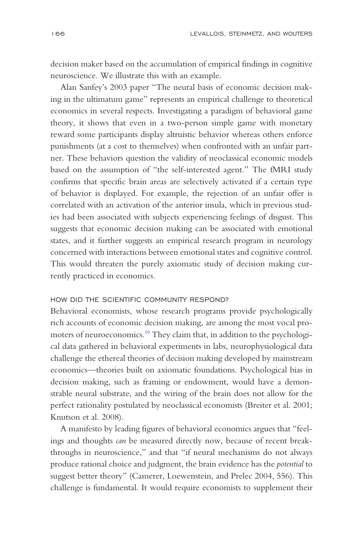decision maker based on the accumulation of empirical findings in cognitive neuroscience. We illustrate this with an example.

Alan Sanfey's 2003 paper "The neural basis of economic decision making in the ultimatum game" represents an empirical challenge to theoretical economics in several respects. Investigating a paradigm of behavioral game theory, it shows that even in a two-person simple game with monetary reward some participants display altruistic behavior whereas others enforce punishments (at a cost to themselves) when confronted with an unfair partner. These behaviors question the validity of neoclassical economic models based on the assumption of "the self-interested agent." The fMRI study confirms that specific brain areas are selectively activated if a certain type of behavior is displayed. For example, the rejection of an unfair offer is correlated with an activation of the anterior insula, which in previous studies had been associated with subjects experiencing feelings of disgust. This suggests that economic decision making can be associated with emotional states, and it further suggests an empirical research program in neurology concerned with interactions between emotional states and cognitive control. This would threaten the purely axiomatic study of decision making currently practiced in economics.

# HOW DID THE SCIENTIFIC COMMUNITY RESPOND?

Behavioral economists, whose research programs provide psychologically rich accounts of economic decision making, are among the most vocal promoters of neuroeconomics.19 They claim that, in addition to the psychological data gathered in behavioral experiments in labs, neurophysiological data challenge the ethereal theories of decision making developed by mainstream economics—theories built on axiomatic foundations. Psychological bias in decision making, such as framing or endowment, would have a demonstrable neural substrate, and the wiring of the brain does not allow for the perfect rationality postulated by neoclassical economists (Breiter et al. 2001; Knutson et al. 2008).

A manifesto by leading figures of behavioral economics argues that "feelings and thoughts *can* be measured directly now, because of recent breakthroughs in neuroscience," and that "if neural mechanisms do not always produce rational choice and judgment, the brain evidence has the *potential* to suggest better theory" (Camerer, Loewenstein, and Prelec 2004, 556). This challenge is fundamental. It would require economists to supplement their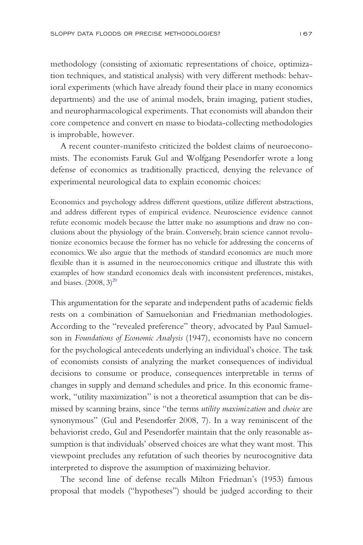methodology (consisting of axiomatic representations of choice, optimization techniques, and statistical analysis) with very different methods: behavioral experiments (which have already found their place in many economics departments) and the use of animal models, brain imaging, patient studies, and neuropharmacological experiments. That economists will abandon their core competence and convert en masse to biodata-collecting methodologies is improbable, however.

A recent counter-manifesto criticized the boldest claims of neuroeconomists. The economists Faruk Gul and Wolfgang Pesendorfer wrote a long defense of economics as traditionally practiced, denying the relevance of experimental neurological data to explain economic choices:

Economics and psychology address different questions, utilize different abstractions, and address different types of empirical evidence. Neuroscience evidence cannot refute economic models because the latter make no assumptions and draw no conclusions about the physiology of the brain. Conversely, brain science cannot revolutionize economics because the former has no vehicle for addressing the concerns of economics. We also argue that the methods of standard economics are much more flexible than it is assumed in the neuroeconomics critique and illustrate this with examples of how standard economics deals with inconsistent preferences, mistakes, and biases.  $(2008, 3)^{20}$ 

This argumentation for the separate and independent paths of academic fields rests on a combination of Samuelsonian and Friedmanian methodologies. According to the "revealed preference" theory, advocated by Paul Samuelson in *Foundations of Economic Analysis* (1947), economists have no concern for the psychological antecedents underlying an individual's choice. The task of economists consists of analyzing the market consequences of individual decisions to consume or produce, consequences interpretable in terms of changes in supply and demand schedules and price. In this economic framework, "utility maximization" is not a theoretical assumption that can be dismissed by scanning brains, since "the terms *utility maximization* and *choice* are synonymous" (Gul and Pesendorfer 2008, 7). In a way reminiscent of the behaviorist credo, Gul and Pesendorfer maintain that the only reasonable assumption is that individuals' observed choices are what they want most. This viewpoint precludes any refutation of such theories by neurocognitive data interpreted to disprove the assumption of maximizing behavior.

The second line of defense recalls Milton Friedman's (1953) famous proposal that models ("hypotheses") should be judged according to their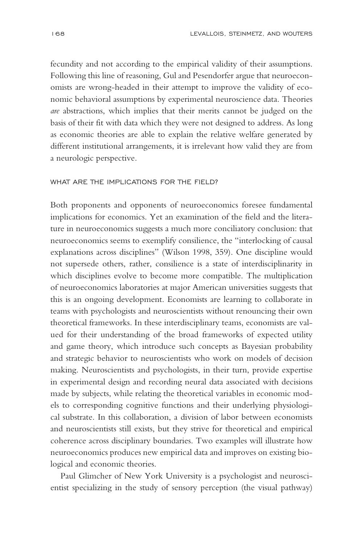fecundity and not according to the empirical validity of their assumptions. Following this line of reasoning, Gul and Pesendorfer argue that neuroeconomists are wrong-headed in their attempt to improve the validity of economic behavioral assumptions by experimental neuroscience data. Theories *are* abstractions, which implies that their merits cannot be judged on the basis of their fit with data which they were not designed to address. As long as economic theories are able to explain the relative welfare generated by different institutional arrangements, it is irrelevant how valid they are from a neurologic perspective.

#### WHAT ARE THE IMPLICATIONS FOR THE FIELD?

Both proponents and opponents of neuroeconomics foresee fundamental implications for economics. Yet an examination of the field and the literature in neuroeconomics suggests a much more conciliatory conclusion: that neuroeconomics seems to exemplify consilience, the "interlocking of causal explanations across disciplines" (Wilson 1998, 359). One discipline would not supersede others, rather, consilience is a state of interdisciplinarity in which disciplines evolve to become more compatible. The multiplication of neuroeconomics laboratories at major American universities suggests that this is an ongoing development. Economists are learning to collaborate in teams with psychologists and neuroscientists without renouncing their own theoretical frameworks. In these interdisciplinary teams, economists are valued for their understanding of the broad frameworks of expected utility and game theory, which introduce such concepts as Bayesian probability and strategic behavior to neuroscientists who work on models of decision making. Neuroscientists and psychologists, in their turn, provide expertise in experimental design and recording neural data associated with decisions made by subjects, while relating the theoretical variables in economic models to corresponding cognitive functions and their underlying physiological substrate. In this collaboration, a division of labor between economists and neuroscientists still exists, but they strive for theoretical and empirical coherence across disciplinary boundaries. Two examples will illustrate how neuroeconomics produces new empirical data and improves on existing biological and economic theories.

Paul Glimcher of New York University is a psychologist and neuroscientist specializing in the study of sensory perception (the visual pathway)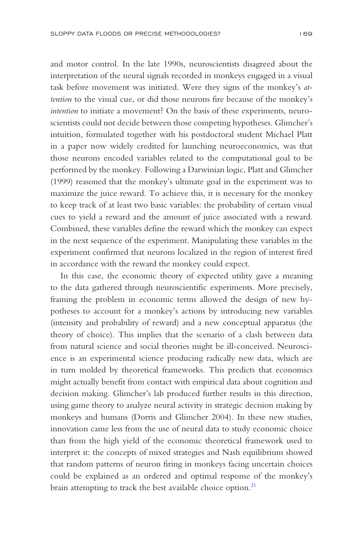and motor control. In the late 1990s, neuroscientists disagreed about the interpretation of the neural signals recorded in monkeys engaged in a visual task before movement was initiated. Were they signs of the monkey's *attention* to the visual cue, or did those neurons fire because of the monkey's *intention* to initiate a movement? On the basis of these experiments, neuroscientists could not decide between those competing hypotheses. Glimcher's intuition, formulated together with his postdoctoral student Michael Platt in a paper now widely credited for launching neuroeconomics, was that those neurons encoded variables related to the computational goal to be performed by the monkey. Following a Darwinian logic, Platt and Glimcher (1999) reasoned that the monkey's ultimate goal in the experiment was to maximize the juice reward. To achieve this, it is necessary for the monkey to keep track of at least two basic variables: the probability of certain visual cues to yield a reward and the amount of juice associated with a reward. Combined, these variables define the reward which the monkey can expect in the next sequence of the experiment. Manipulating these variables in the experiment confirmed that neurons localized in the region of interest fired in accordance with the reward the monkey could expect.

In this case, the economic theory of expected utility gave a meaning to the data gathered through neuroscientific experiments. More precisely, framing the problem in economic terms allowed the design of new hypotheses to account for a monkey's actions by introducing new variables (intensity and probability of reward) and a new conceptual apparatus (the theory of choice). This implies that the scenario of a clash between data from natural science and social theories might be ill-conceived. Neuroscience is an experimental science producing radically new data, which are in turn molded by theoretical frameworks. This predicts that economics might actually benefit from contact with empirical data about cognition and decision making. Glimcher's lab produced further results in this direction, using game theory to analyze neural activity in strategic decision making by monkeys and humans (Dorris and Glimcher 2004). In these new studies, innovation came less from the use of neural data to study economic choice than from the high yield of the economic theoretical framework used to interpret it: the concepts of mixed strategies and Nash equilibrium showed that random patterns of neuron firing in monkeys facing uncertain choices could be explained as an ordered and optimal response of the monkey's brain attempting to track the best available choice option. $^{21}$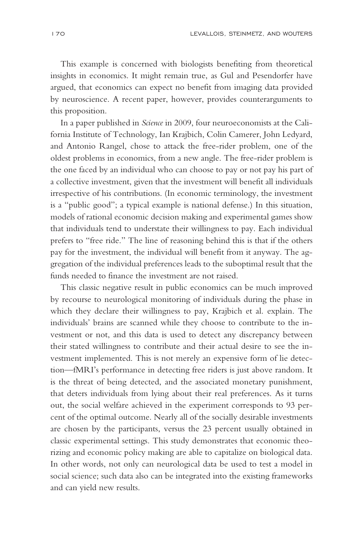This example is concerned with biologists benefiting from theoretical insights in economics. It might remain true, as Gul and Pesendorfer have argued, that economics can expect no benefit from imaging data provided by neuroscience. A recent paper, however, provides counterarguments to this proposition.

In a paper published in *Science* in 2009, four neuroeconomists at the California Institute of Technology, Ian Krajbich, Colin Camerer, John Ledyard, and Antonio Rangel, chose to attack the free-rider problem, one of the oldest problems in economics, from a new angle. The free-rider problem is the one faced by an individual who can choose to pay or not pay his part of a collective investment, given that the investment will benefit all individuals irrespective of his contributions. (In economic terminology, the investment is a "public good"; a typical example is national defense.) In this situation, models of rational economic decision making and experimental games show that individuals tend to understate their willingness to pay. Each individual prefers to "free ride." The line of reasoning behind this is that if the others pay for the investment, the individual will benefit from it anyway. The aggregation of the individual preferences leads to the suboptimal result that the funds needed to finance the investment are not raised.

This classic negative result in public economics can be much improved by recourse to neurological monitoring of individuals during the phase in which they declare their willingness to pay, Krajbich et al. explain. The individuals' brains are scanned while they choose to contribute to the investment or not, and this data is used to detect any discrepancy between their stated willingness to contribute and their actual desire to see the investment implemented. This is not merely an expensive form of lie detection—fMRI's performance in detecting free riders is just above random. It is the threat of being detected, and the associated monetary punishment, that deters individuals from lying about their real preferences. As it turns out, the social welfare achieved in the experiment corresponds to 93 percent of the optimal outcome. Nearly all of the socially desirable investments are chosen by the participants, versus the 23 percent usually obtained in classic experimental settings. This study demonstrates that economic theorizing and economic policy making are able to capitalize on biological data. In other words, not only can neurological data be used to test a model in social science; such data also can be integrated into the existing frameworks and can yield new results.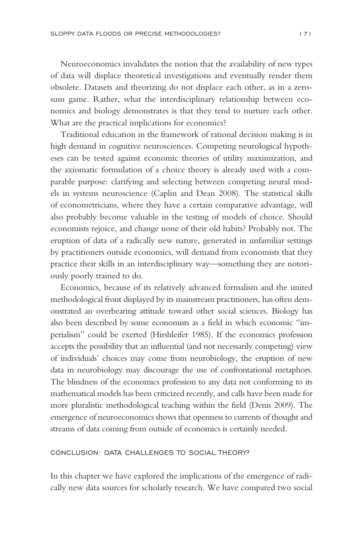Neuroeconomics invalidates the notion that the availability of new types of data will displace theoretical investigations and eventually render them obsolete. Datasets and theorizing do not displace each other, as in a zerosum game. Rather, what the interdisciplinary relationship between economics and biology demonstrates is that they tend to nurture each other. What are the practical implications for economics?

Traditional education in the framework of rational decision making is in high demand in cognitive neurosciences. Competing neurological hypotheses can be tested against economic theories of utility maximization, and the axiomatic formulation of a choice theory is already used with a comparable purpose: clarifying and selecting between competing neural models in systems neuroscience (Caplin and Dean 2008). The statistical skills of econometricians, where they have a certain comparative advantage, will also probably become valuable in the testing of models of choice. Should economists rejoice, and change none of their old habits? Probably not. The eruption of data of a radically new nature, generated in unfamiliar settings by practitioners outside economics, will demand from economists that they practice their skills in an interdisciplinary way—something they are notoriously poorly trained to do.

Economics, because of its relatively advanced formalism and the united methodological front displayed by its mainstream practitioners, has often demonstrated an overbearing attitude toward other social sciences. Biology has also been described by some economists as a field in which economic "imperialism" could be exerted (Hirshleifer 1985). If the economics profession accepts the possibility that an influential (and not necessarily competing) view of individuals' choices may come from neurobiology, the eruption of new data in neurobiology may discourage the use of confrontational metaphors. The blindness of the economics profession to any data not conforming to its mathematical models has been criticized recently, and calls have been made for more pluralistic methodological teaching within the field (Denis 2009). The emergence of neuroeconomics shows that openness to currents of thought and streams of data coming from outside of economics is certainly needed.

#### CONCLUSION: DATA CHALLENGES TO SOCIAL THEORY?

In this chapter we have explored the implications of the emergence of radically new data sources for scholarly research. We have compared two social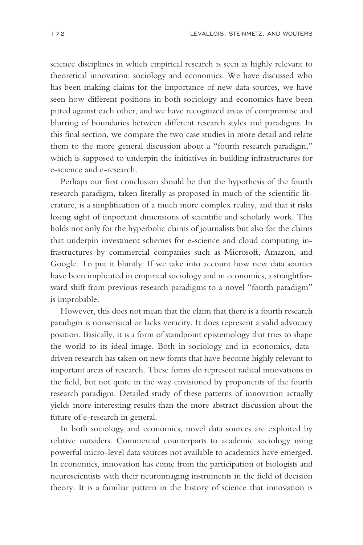science disciplines in which empirical research is seen as highly relevant to theoretical innovation: sociology and economics. We have discussed who has been making claims for the importance of new data sources, we have seen how different positions in both sociology and economics have been pitted against each other, and we have recognized areas of compromise and blurring of boundaries between different research styles and paradigms. In this final section, we compare the two case studies in more detail and relate them to the more general discussion about a "fourth research paradigm," which is supposed to underpin the initiatives in building infrastructures for e-science and e-research.

Perhaps our first conclusion should be that the hypothesis of the fourth research paradigm, taken literally as proposed in much of the scientific literature, is a simplification of a much more complex reality, and that it risks losing sight of important dimensions of scientific and scholarly work. This holds not only for the hyperbolic claims of journalists but also for the claims that underpin investment schemes for e-science and cloud computing infrastructures by commercial companies such as Microsoft, Amazon, and Google. To put it bluntly: If we take into account how new data sources have been implicated in empirical sociology and in economics, a straightforward shift from previous research paradigms to a novel "fourth paradigm" is improbable.

However, this does not mean that the claim that there is a fourth research paradigm is nonsensical or lacks veracity. It does represent a valid advocacy position. Basically, it is a form of standpoint epistemology that tries to shape the world to its ideal image. Both in sociology and in economics, datadriven research has taken on new forms that have become highly relevant to important areas of research. These forms do represent radical innovations in the field, but not quite in the way envisioned by proponents of the fourth research paradigm. Detailed study of these patterns of innovation actually yields more interesting results than the more abstract discussion about the future of e-research in general.

In both sociology and economics, novel data sources are exploited by relative outsiders. Commercial counterparts to academic sociology using powerful micro-level data sources not available to academics have emerged. In economics, innovation has come from the participation of biologists and neuroscientists with their neuroimaging instruments in the field of decision theory. It is a familiar pattern in the history of science that innovation is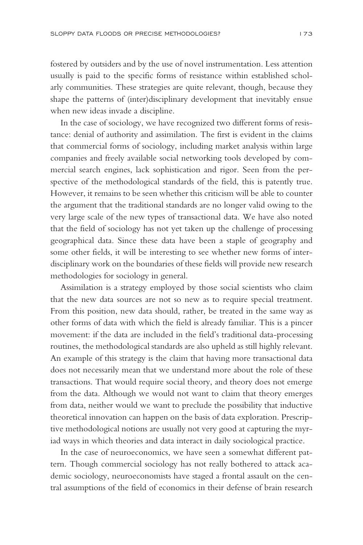fostered by outsiders and by the use of novel instrumentation. Less attention usually is paid to the specific forms of resistance within established scholarly communities. These strategies are quite relevant, though, because they shape the patterns of (inter)disciplinary development that inevitably ensue when new ideas invade a discipline.

In the case of sociology, we have recognized two different forms of resistance: denial of authority and assimilation. The first is evident in the claims that commercial forms of sociology, including market analysis within large companies and freely available social networking tools developed by commercial search engines, lack sophistication and rigor. Seen from the perspective of the methodological standards of the field, this is patently true. However, it remains to be seen whether this criticism will be able to counter the argument that the traditional standards are no longer valid owing to the very large scale of the new types of transactional data. We have also noted that the field of sociology has not yet taken up the challenge of processing geographical data. Since these data have been a staple of geography and some other fields, it will be interesting to see whether new forms of interdisciplinary work on the boundaries of these fields will provide new research methodologies for sociology in general.

Assimilation is a strategy employed by those social scientists who claim that the new data sources are not so new as to require special treatment. From this position, new data should, rather, be treated in the same way as other forms of data with which the field is already familiar. This is a pincer movement: if the data are included in the field's traditional data-processing routines, the methodological standards are also upheld as still highly relevant. An example of this strategy is the claim that having more transactional data does not necessarily mean that we understand more about the role of these transactions. That would require social theory, and theory does not emerge from the data. Although we would not want to claim that theory emerges from data, neither would we want to preclude the possibility that inductive theoretical innovation can happen on the basis of data exploration. Prescriptive methodological notions are usually not very good at capturing the myriad ways in which theories and data interact in daily sociological practice.

In the case of neuroeconomics, we have seen a somewhat different pattern. Though commercial sociology has not really bothered to attack academic sociology, neuroeconomists have staged a frontal assault on the central assumptions of the field of economics in their defense of brain research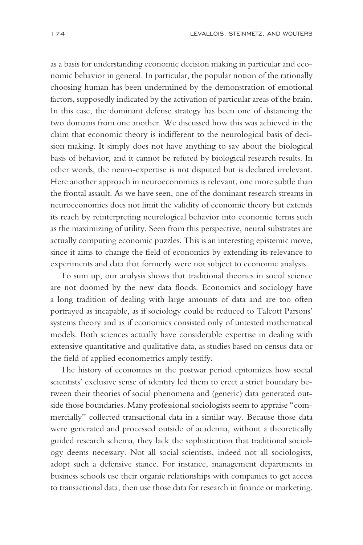as a basis for understanding economic decision making in particular and economic behavior in general. In particular, the popular notion of the rationally choosing human has been undermined by the demonstration of emotional factors, supposedly indicated by the activation of particular areas of the brain. In this case, the dominant defense strategy has been one of distancing the two domains from one another. We discussed how this was achieved in the claim that economic theory is indifferent to the neurological basis of decision making. It simply does not have anything to say about the biological basis of behavior, and it cannot be refuted by biological research results. In other words, the neuro-expertise is not disputed but is declared irrelevant. Here another approach in neuroeconomics is relevant, one more subtle than the frontal assault. As we have seen, one of the dominant research streams in neuroeconomics does not limit the validity of economic theory but extends its reach by reinterpreting neurological behavior into economic terms such as the maximizing of utility. Seen from this perspective, neural substrates are actually computing economic puzzles. This is an interesting epistemic move, since it aims to change the field of economics by extending its relevance to experiments and data that formerly were not subject to economic analysis.

To sum up, our analysis shows that traditional theories in social science are not doomed by the new data floods. Economics and sociology have a long tradition of dealing with large amounts of data and are too often portrayed as incapable, as if sociology could be reduced to Talcott Parsons' systems theory and as if economics consisted only of untested mathematical models. Both sciences actually have considerable expertise in dealing with extensive quantitative and qualitative data, as studies based on census data or the field of applied econometrics amply testify.

The history of economics in the postwar period epitomizes how social scientists' exclusive sense of identity led them to erect a strict boundary between their theories of social phenomena and (generic) data generated outside those boundaries. Many professional sociologists seem to appraise "commercially" collected transactional data in a similar way. Because those data were generated and processed outside of academia, without a theoretically guided research schema, they lack the sophistication that traditional sociology deems necessary. Not all social scientists, indeed not all sociologists, adopt such a defensive stance. For instance, management departments in business schools use their organic relationships with companies to get access to transactional data, then use those data for research in finance or marketing.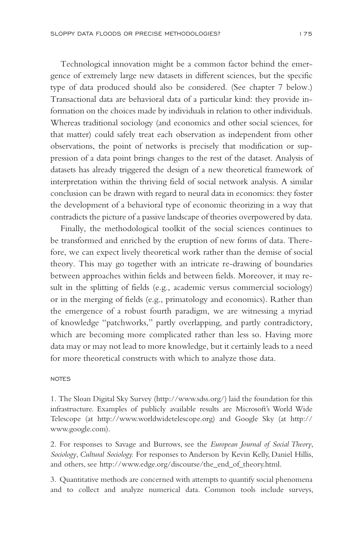Technological innovation might be a common factor behind the emergence of extremely large new datasets in different sciences, but the specific type of data produced should also be considered. (See chapter 7 below.) Transactional data are behavioral data of a particular kind: they provide information on the choices made by individuals in relation to other individuals. Whereas traditional sociology (and economics and other social sciences, for that matter) could safely treat each observation as independent from other observations, the point of networks is precisely that modification or suppression of a data point brings changes to the rest of the dataset. Analysis of datasets has already triggered the design of a new theoretical framework of interpretation within the thriving field of social network analysis. A similar conclusion can be drawn with regard to neural data in economics: they foster the development of a behavioral type of economic theorizing in a way that contradicts the picture of a passive landscape of theories overpowered by data.

Finally, the methodological toolkit of the social sciences continues to be transformed and enriched by the eruption of new forms of data. Therefore, we can expect lively theoretical work rather than the demise of social theory. This may go together with an intricate re-drawing of boundaries between approaches within fields and between fields. Moreover, it may result in the splitting of fields (e.g., academic versus commercial sociology) or in the merging of fields (e.g., primatology and economics). Rather than the emergence of a robust fourth paradigm, we are witnessing a myriad of knowledge "patchworks," partly overlapping, and partly contradictory, which are becoming more complicated rather than less so. Having more data may or may not lead to more knowledge, but it certainly leads to a need for more theoretical constructs with which to analyze those data.

#### NOTES

1. The Sloan Digital Sky Survey (http://www.sdss.org/) laid the foundation for this infrastructure. Examples of publicly available results are Microsoft's World Wide Telescope (at http://www.worldwidetelescope.org) and Google Sky (at http:// www.google.com).

2. For responses to Savage and Burrows, see the *European Journal of Social Theory*, *Sociology*, *Cultural Sociology.* For responses to Anderson by Kevin Kelly, Daniel Hillis, and others, see http://www.edge.org/discourse/the\_end\_of\_theory.html.

3. Quantitative methods are concerned with attempts to quantify social phenomena and to collect and analyze numerical data. Common tools include surveys,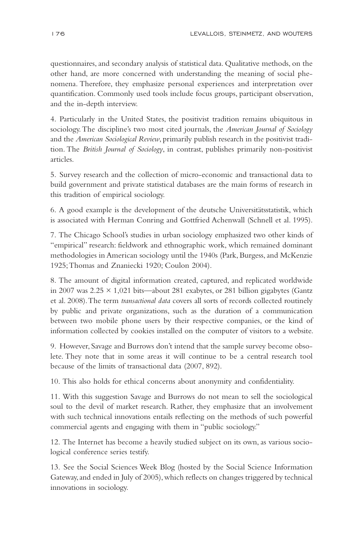questionnaires, and secondary analysis of statistical data. Qualitative methods, on the other hand, are more concerned with understanding the meaning of social phenomena. Therefore, they emphasize personal experiences and interpretation over quantification. Commonly used tools include focus groups, participant observation, and the in-depth interview.

4. Particularly in the United States, the positivist tradition remains ubiquitous in sociology. The discipline's two most cited journals, the *American Journal of Sociology* and the *American Sociological Review*, primarily publish research in the positivist tradition. The *British Journal of Sociology*, in contrast, publishes primarily non-positivist articles.

5. Survey research and the collection of micro-economic and transactional data to build government and private statistical databases are the main forms of research in this tradition of empirical sociology.

6. A good example is the development of the deutsche Universitätsstatistik, which is associated with Herman Conring and Gottfried Achenwall (Schnell et al. 1995).

7. The Chicago School's studies in urban sociology emphasized two other kinds of "empirical" research: fieldwork and ethnographic work, which remained dominant methodologies in American sociology until the 1940s (Park, Burgess, and McKenzie 1925; Thomas and Znaniecki 1920; Coulon 2004).

8. The amount of digital information created, captured, and replicated worldwide in 2007 was  $2.25 \times 1,021$  bits—about 281 exabytes, or 281 billion gigabytes (Gantz et al. 2008). The term *transactional data* covers all sorts of records collected routinely by public and private organizations, such as the duration of a communication between two mobile phone users by their respective companies, or the kind of information collected by cookies installed on the computer of visitors to a website.

9. However, Savage and Burrows don't intend that the sample survey become obsolete. They note that in some areas it will continue to be a central research tool because of the limits of transactional data (2007, 892).

10. This also holds for ethical concerns about anonymity and confidentiality.

11. With this suggestion Savage and Burrows do not mean to sell the sociological soul to the devil of market research. Rather, they emphasize that an involvement with such technical innovations entails reflecting on the methods of such powerful commercial agents and engaging with them in "public sociology."

12. The Internet has become a heavily studied subject on its own, as various sociological conference series testify.

13. See the Social Sciences Week Blog (hosted by the Social Science Information Gateway, and ended in July of 2005), which reflects on changes triggered by technical innovations in sociology.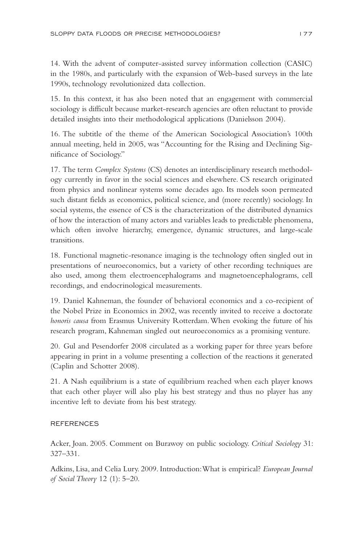14. With the advent of computer-assisted survey information collection (CASIC) in the 1980s, and particularly with the expansion of Web-based surveys in the late 1990s, technology revolutionized data collection.

15. In this context, it has also been noted that an engagement with commercial sociology is difficult because market-research agencies are often reluctant to provide detailed insights into their methodological applications (Danielsson 2004).

16. The subtitle of the theme of the American Sociological Association's 100th annual meeting, held in 2005, was "Accounting for the Rising and Declining Significance of Sociology."

17. The term *Complex Systems* (CS) denotes an interdisciplinary research methodology currently in favor in the social sciences and elsewhere. CS research originated from physics and nonlinear systems some decades ago. Its models soon permeated such distant fields as economics, political science, and (more recently) sociology. In social systems, the essence of CS is the characterization of the distributed dynamics of how the interaction of many actors and variables leads to predictable phenomena, which often involve hierarchy, emergence, dynamic structures, and large-scale transitions.

18. Functional magnetic-resonance imaging is the technology often singled out in presentations of neuroeconomics, but a variety of other recording techniques are also used, among them electroencephalograms and magnetoencephalograms, cell recordings, and endocrinological measurements.

19. Daniel Kahneman, the founder of behavioral economics and a co-recipient of the Nobel Prize in Economics in 2002, was recently invited to receive a doctorate *honoris causa* from Erasmus University Rotterdam. When evoking the future of his research program, Kahneman singled out neuroeconomics as a promising venture.

20. Gul and Pesendorfer 2008 circulated as a working paper for three years before appearing in print in a volume presenting a collection of the reactions it generated (Caplin and Schotter 2008).

21. A Nash equilibrium is a state of equilibrium reached when each player knows that each other player will also play his best strategy and thus no player has any incentive left to deviate from his best strategy.

#### REFERENCES

Acker, Joan. 2005. Comment on Burawoy on public sociology. *Critical Sociology* 31: 327–331.

Adkins, Lisa, and Celia Lury. 2009. Introduction: What is empirical? *European Journal of Social Theory* 12 (1): 5–20.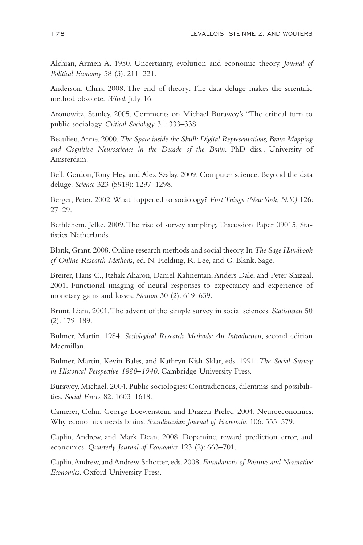Alchian, Armen A. 1950. Uncertainty, evolution and economic theory. *Journal of Political Economy* 58 (3): 211–221.

Anderson, Chris. 2008. The end of theory: The data deluge makes the scientific method obsolete. *Wired*, July 16.

Aronowitz, Stanley. 2005. Comments on Michael Burawoy's "The critical turn to public sociology. *Critical Sociology* 31: 333–338.

Beaulieu, Anne. 2000. *The Space inside the Skull: Digital Representations, Brain Mapping and Cognitive Neuroscience in the Decade of the Brain*. PhD diss., University of Amsterdam.

Bell, Gordon, Tony Hey, and Alex Szalay. 2009. Computer science: Beyond the data deluge. *Science* 323 (5919): 1297–1298.

Berger, Peter. 2002. What happened to sociology? *First Things (New York, N.Y.)* 126: 27–29.

Bethlehem, Jelke. 2009. The rise of survey sampling. Discussion Paper 09015, Statistics Netherlands.

Blank, Grant. 2008. Online research methods and social theory. In *The Sage Handbook of Online Research Methods*, ed. N. Fielding, R. Lee, and G. Blank. Sage.

Breiter, Hans C., Itzhak Aharon, Daniel Kahneman, Anders Dale, and Peter Shizgal. 2001. Functional imaging of neural responses to expectancy and experience of monetary gains and losses. *Neuron* 30 (2): 619–639.

Brunt, Liam. 2001. The advent of the sample survey in social sciences. *Statistician* 50 (2): 179–189.

Bulmer, Martin. 1984. *Sociological Research Methods: An Introduction*, second edition Macmillan.

Bulmer, Martin, Kevin Bales, and Kathryn Kish Sklar, eds. 1991. *The Social Survey in Historical Perspective 1880–1940*. Cambridge University Press.

Burawoy, Michael. 2004. Public sociologies: Contradictions, dilemmas and possibilities. *Social Forces* 82: 1603–1618.

Camerer, Colin, George Loewenstein, and Drazen Prelec. 2004. Neuroeconomics: Why economics needs brains. *Scandinavian Journal of Economics* 106: 555–579.

Caplin, Andrew, and Mark Dean. 2008. Dopamine, reward prediction error, and economics. *Quarterly Journal of Economics* 123 (2): 663–701.

Caplin, Andrew, and Andrew Schotter, eds. 2008. *Foundations of Positive and Normative Economics*. Oxford University Press.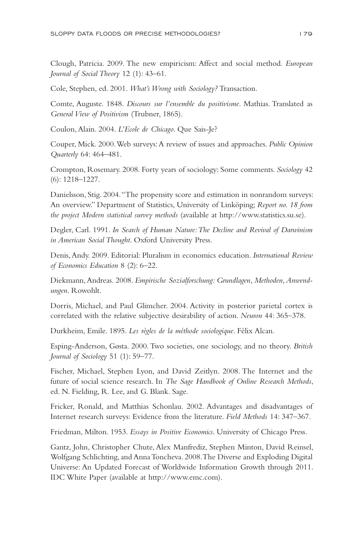Clough, Patricia. 2009. The new empiricism: Affect and social method. *European Journal of Social Theory* 12 (1): 43–61.

Cole, Stephen, ed. 2001. *What's Wrong with Sociology?* Transaction.

Comte, Auguste. 1848. *Discours sur l'ensemble du positivisme*. Mathias. Translated as *General View of Positivism* (Trubner, 1865).

Coulon, Alain. 2004. *L'Ecole de Chicago*. Que Sais-Je?

Couper, Mick. 2000. Web surveys: A review of issues and approaches. *Public Opinion Quarterly* 64: 464–481.

Crompton, Rosemary. 2008. Forty years of sociology: Some comments. *Sociology* 42 (6): 1218–1227.

Danielsson, Stig. 2004. "The propensity score and estimation in nonrandom surveys: An overview." Department of Statistics, University of Linköping; *Report no. 18 from the project Modern statistical survey methods* (available at http://www.statistics.su.se).

Degler, Carl. 1991. *In Search of Human Nature: The Decline and Revival of Darwinism in American Social Thought*. Oxford University Press.

Denis, Andy. 2009. Editorial: Pluralism in economics education. *International Review of Economics Education* 8 (2): 6–22.

Diekmann, Andreas. 2008. *Empirische Sozialforschung: Grundlagen, Methoden, Anwendungen*. Rowohlt.

Dorris, Michael, and Paul Glimcher. 2004. Activity in posterior parietal cortex is correlated with the relative subjective desirability of action. *Neuron* 44: 365–378.

Durkheim, Emile. 1895. *Les règles de la méthode sociologique*. Félix Alcan.

Esping-Anderson, Gøsta. 2000. Two societies, one sociology, and no theory. *British Journal of Sociology* 51 (1): 59–77.

Fischer, Michael, Stephen Lyon, and David Zeitlyn. 2008. The Internet and the future of social science research. In *The Sage Handbook of Online Research Methods*, ed. N. Fielding, R. Lee, and G. Blank. Sage.

Fricker, Ronald, and Matthias Schonlau. 2002. Advantages and disadvantages of Internet research surveys: Evidence from the literature. *Field Methods* 14: 347–367.

Friedman, Milton. 1953. *Essays in Positive Economics*. University of Chicago Press.

Gantz, John, Christopher Chute, Alex Manfrediz, Stephen Minton, David Reinsel, Wolfgang Schlichting, and Anna Toncheva. 2008. The Diverse and Exploding Digital Universe: An Updated Forecast of Worldwide Information Growth through 2011. IDC White Paper (available at http://www.emc.com).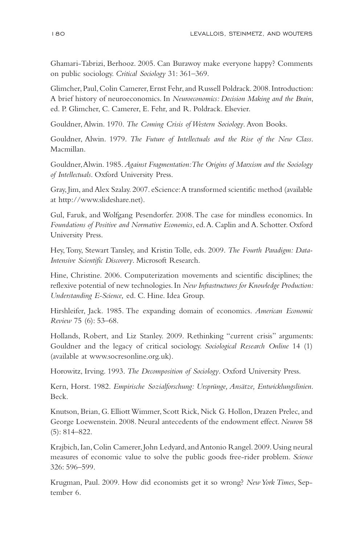Ghamari-Tabrizi, Berhooz. 2005. Can Burawoy make everyone happy? Comments on public sociology. *Critical Sociology* 31: 361–369.

Glimcher, Paul, Colin Camerer, Ernst Fehr, and Russell Poldrack. 2008. Introduction: A brief history of neuroeconomics. In *Neuroeconomics: Decision Making and the Brain*, ed. P. Glimcher, C. Camerer, E. Fehr, and R. Poldrack. Elsevier.

Gouldner, Alwin. 1970. *The Coming Crisis of Western Sociology*. Avon Books.

Gouldner, Alwin. 1979. *The Future of Intellectuals and the Rise of the New Class*. Macmillan.

Gouldner, Alwin. 1985. *Against Fragmentation: The Origins of Marxism and the Sociology of Intellectuals*. Oxford University Press.

Gray, Jim, and Alex Szalay. 2007. eScience: A transformed scientific method (available at http://www.slideshare.net).

Gul, Faruk, and Wolfgang Pesendorfer. 2008. The case for mindless economics. In *Foundations of Positive and Normative Economics*, ed. A. Caplin and A. Schotter. Oxford University Press.

Hey, Tony, Stewart Tansley, and Kristin Tolle, eds. 2009. *The Fourth Paradigm: Data-Intensive Scientific Discovery*. Microsoft Research.

Hine, Christine. 2006. Computerization movements and scientific disciplines; the reflexive potential of new technologies. In *New Infrastructures for Knowledge Production: Understanding E-Science,* ed. C. Hine. Idea Group.

Hirshleifer, Jack. 1985. The expanding domain of economics. *American Economic Review* 75 (6): 53–68.

Hollands, Robert, and Liz Stanley. 2009. Rethinking "current crisis" arguments: Gouldner and the legacy of critical sociology. *Sociological Research Online* 14 (1) (available at www.socresonline.org.uk).

Horowitz, Irving. 1993. *The Decomposition of Sociology*. Oxford University Press.

Kern, Horst. 1982. *Empirische Sozialforschung: Ursprünge, Ansätze, Entwicklungslinien*. Beck.

Knutson, Brian, G. Elliott Wimmer, Scott Rick, Nick G. Hollon, Drazen Prelec, and George Loewenstein. 2008. Neural antecedents of the endowment effect. *Neuron* 58 (5): 814–822.

Krajbich, Ian, Colin Camerer, John Ledyard, and Antonio Rangel. 2009. Using neural measures of economic value to solve the public goods free-rider problem. *Science* 326: 596–599.

Krugman, Paul. 2009. How did economists get it so wrong? *New York Times*, September 6.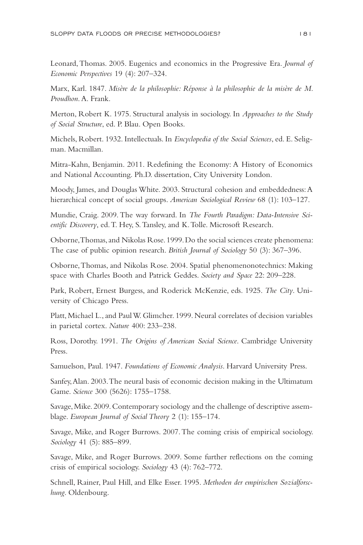Leonard, Thomas. 2005. Eugenics and economics in the Progressive Era. *Journal of Economic Perspectives* 19 (4): 207–324.

Marx, Karl. 1847. *Misère de la philosophie: Réponse à la philosophie de la misère de M. Proudhon*. A. Frank.

Merton, Robert K. 1975. Structural analysis in sociology. In *Approaches to the Study of Social Structure*, ed. P. Blau. Open Books.

Michels, Robert. 1932. Intellectuals. In *Encyclopedia of the Social Sciences*, ed. E. Seligman. Macmillan.

Mitra-Kahn, Benjamin. 2011. Redefining the Economy: A History of Economics and National Accounting. Ph.D. dissertation, City University London.

Moody, James, and Douglas White. 2003. Structural cohesion and embeddedness: A hierarchical concept of social groups. *American Sociological Review* 68 (1): 103–127.

Mundie, Craig. 2009. The way forward. In *The Fourth Paradigm: Data-Intensive Scientific Discovery*, ed. T. Hey, S. Tansley, and K. Tolle. Microsoft Research.

Osborne, Thomas, and Nikolas Rose. 1999. Do the social sciences create phenomena: The case of public opinion research. *British Journal of Sociology* 50 (3): 367–396.

Osborne, Thomas, and Nikolas Rose. 2004. Spatial phenomenonotechnics: Making space with Charles Booth and Patrick Geddes. *Society and Space* 22: 209–228.

Park, Robert, Ernest Burgess, and Roderick McKenzie, eds. 1925. *The City*. University of Chicago Press.

Platt, Michael L., and Paul W. Glimcher. 1999. Neural correlates of decision variables in parietal cortex. *Nature* 400: 233–238.

Ross, Dorothy. 1991. *The Origins of American Social Science*. Cambridge University Press.

Samuelson, Paul. 1947. *Foundations of Economic Analysis*. Harvard University Press.

Sanfey, Alan. 2003. The neural basis of economic decision making in the Ultimatum Game. *Science* 300 (5626): 1755–1758.

Savage, Mike. 2009. Contemporary sociology and the challenge of descriptive assemblage. *European Journal of Social Theory* 2 (1): 155–174.

Savage, Mike, and Roger Burrows. 2007. The coming crisis of empirical sociology. *Sociology* 41 (5): 885–899.

Savage, Mike, and Roger Burrows. 2009. Some further reflections on the coming crisis of empirical sociology. *Sociology* 43 (4): 762–772.

Schnell, Rainer, Paul Hill, and Elke Esser. 1995. *Methoden der empirischen Sozialforschung*. Oldenbourg.